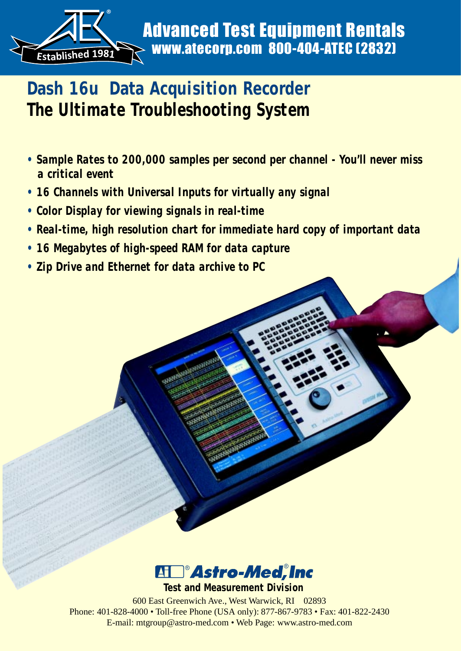

# **Dash 16u Data Acquisition Recorder** *The Ultimate Troubleshooting System*

- *Sample Rates to 200,000 samples per second per channel You'll never miss a critical event*
- *16 Channels with Universal Inputs for virtually any signal*

**ANNES** 

- *Color Display for viewing signals in real-time*
- *Real-time, high resolution chart for immediate hard copy of important data*
- *16 Megabytes of high-speed RAM for data capture*
- *Zip Drive and Ethernet for data archive to PC*



600 East Greenwich Ave., West Warwick, RI 02893 Phone: 401-828-4000 • Toll-free Phone (USA only): 877-867-9783 • Fax: 401-822-2430 E-mail: mtgroup@astro-med.com • Web Page: www.astro-med.com **Test and Measurement Division**